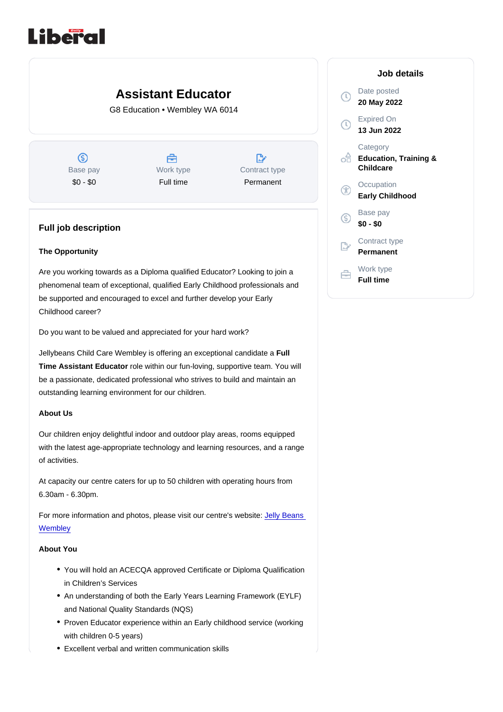# Assistant Educator

G8 Education • Wembley WA 6014

Base pay \$0 - \$0

Work type Full time

Contract type Permanent

# Full job description

## The Opportunity

Are you working towards as a Diploma qualified Educator? Looking to join a phenomenal team of exceptional, qualified Early Childhood professionals and be supported and encouraged to excel and further develop your Early Childhood career?

Do you want to be valued and appreciated for your hard work?

Jellybeans Child Care Wembley is offering an exceptional candidate a Full Time Assistant Educator role within our fun-loving, supportive team. You will be a passionate, dedicated professional who strives to build and maintain an outstanding learning environment for our children.

#### About Us

Our children enjoy delightful indoor and outdoor play areas, rooms equipped with the latest age-appropriate technology and learning resources, and a range of activities.

At capacity our centre caters for up to 50 children with operating hours from 6.30am - 6.30pm.

For more information and photos, please visit our centre's website: [Jelly Beans](https://www.jellybeanschildcare.com.au/centres/childcare-wembley/)  **[Wembley](https://www.jellybeanschildcare.com.au/centres/childcare-wembley/)** 

#### About You

- You will hold an ACECQA approved Certificate or Diploma Qualification in Children's Services
- An understanding of both the Early Years Learning Framework (EYLF) and National Quality Standards (NQS)
- Proven Educator experience within an Early childhood service (working with children 0-5 years)
- Excellent verbal and written communication skills

## Job details

Date posted 20 May 2022

Expired On 13 Jun 2022

**Category** Education, Training & **Childcare** 

**Occupation** Early Childhood

Base pay \$0 - \$0

Contract type Permanent

Work type Full time